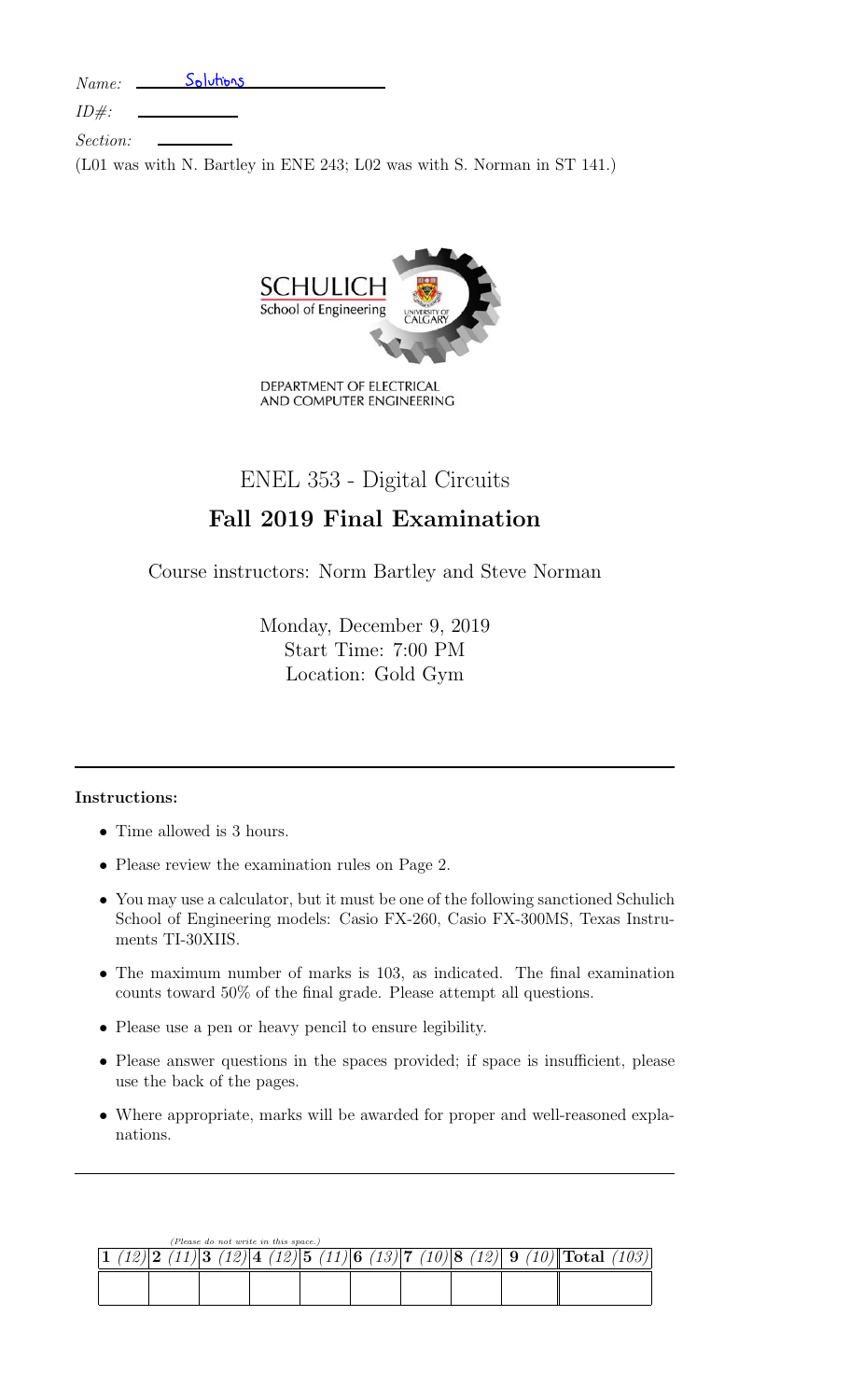*Name:* Solutions

|  |  | $1$ v $0$ $1$ $1$ $0$ $\circ$ $\cdot$ |  |
|--|--|---------------------------------------|--|
|  |  |                                       |  |
|  |  |                                       |  |

*ID#:*

*Section:*

(L01 was with N. Bartley in ENE 243; L02 was with S. Norman in ST 141.)



# ENEL 353 - Digital Circuits

# Fall 2019 Final Examination

Course instructors: Norm Bartley and Steve Norman

Monday, December 9, 2019 Start Time: 7:00 PM Location: Gold Gym

## Instructions:

- *•* Time allowed is 3 hours.
- Please review the examination rules on Page 2.
- *•* You may use a calculator, but it must be one of the following sanctioned Schulich School of Engineering models: Casio FX-260, Casio FX-300MS, Texas Instruments TI-30XIIS.
- *•* The maximum number of marks is 103, as indicated. The final examination counts toward 50% of the final grade. Please attempt all questions.
- *•* Please use a pen or heavy pencil to ensure legibility.
- Please answer questions in the spaces provided; if space is insufficient, please use the back of the pages.
- Where appropriate, marks will be awarded for proper and well-reasoned explanations.

|  | (Please do not write in this space.) |                                                                      |  |
|--|--------------------------------------|----------------------------------------------------------------------|--|
|  |                                      | 3 (12)  4 (12)  5 (11)  6 (13)  7 (10)  8 (12)  9 (10)   Total (103) |  |
|  |                                      |                                                                      |  |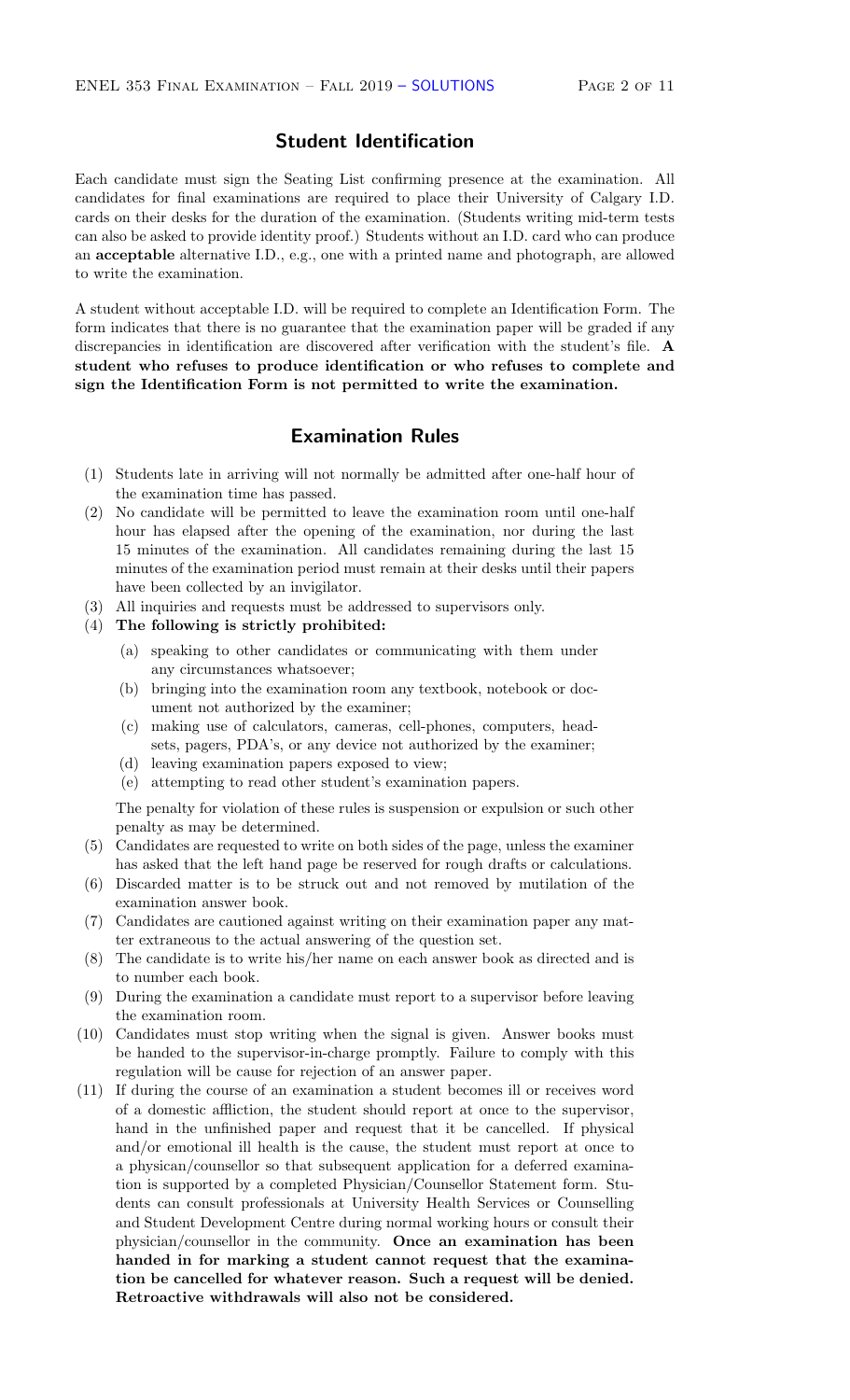## Student Identification

Each candidate must sign the Seating List confirming presence at the examination. All candidates for final examinations are required to place their University of Calgary I.D. cards on their desks for the duration of the examination. (Students writing mid-term tests can also be asked to provide identity proof.) Students without an I.D. card who can produce an acceptable alternative I.D., e.g., one with a printed name and photograph, are allowed to write the examination.

A student without acceptable I.D. will be required to complete an Identification Form. The form indicates that there is no guarantee that the examination paper will be graded if any discrepancies in identification are discovered after verification with the student's file. A student who refuses to produce identification or who refuses to complete and sign the Identification Form is not permitted to write the examination.

## Examination Rules

- (1) Students late in arriving will not normally be admitted after one-half hour of the examination time has passed.
- (2) No candidate will be permitted to leave the examination room until one-half hour has elapsed after the opening of the examination, nor during the last 15 minutes of the examination. All candidates remaining during the last 15 minutes of the examination period must remain at their desks until their papers have been collected by an invigilator.
- (3) All inquiries and requests must be addressed to supervisors only.
- (4) The following is strictly prohibited:
	- (a) speaking to other candidates or communicating with them under any circumstances whatsoever;
	- (b) bringing into the examination room any textbook, notebook or document not authorized by the examiner;
	- (c) making use of calculators, cameras, cell-phones, computers, headsets, pagers, PDA's, or any device not authorized by the examiner;
	- (d) leaving examination papers exposed to view;
	- (e) attempting to read other student's examination papers.

The penalty for violation of these rules is suspension or expulsion or such other penalty as may be determined.

- (5) Candidates are requested to write on both sides of the page, unless the examiner has asked that the left hand page be reserved for rough drafts or calculations.
- (6) Discarded matter is to be struck out and not removed by mutilation of the examination answer book.
- (7) Candidates are cautioned against writing on their examination paper any matter extraneous to the actual answering of the question set.
- (8) The candidate is to write his/her name on each answer book as directed and is to number each book.
- (9) During the examination a candidate must report to a supervisor before leaving the examination room.
- (10) Candidates must stop writing when the signal is given. Answer books must be handed to the supervisor-in-charge promptly. Failure to comply with this regulation will be cause for rejection of an answer paper.
- (11) If during the course of an examination a student becomes ill or receives word of a domestic a✏iction, the student should report at once to the supervisor, hand in the unfinished paper and request that it be cancelled. If physical and/or emotional ill health is the cause, the student must report at once to a physican/counsellor so that subsequent application for a deferred examination is supported by a completed Physician/Counsellor Statement form. Students can consult professionals at University Health Services or Counselling and Student Development Centre during normal working hours or consult their physician/counsellor in the community. Once an examination has been handed in for marking a student cannot request that the examination be cancelled for whatever reason. Such a request will be denied. Retroactive withdrawals will also not be considered.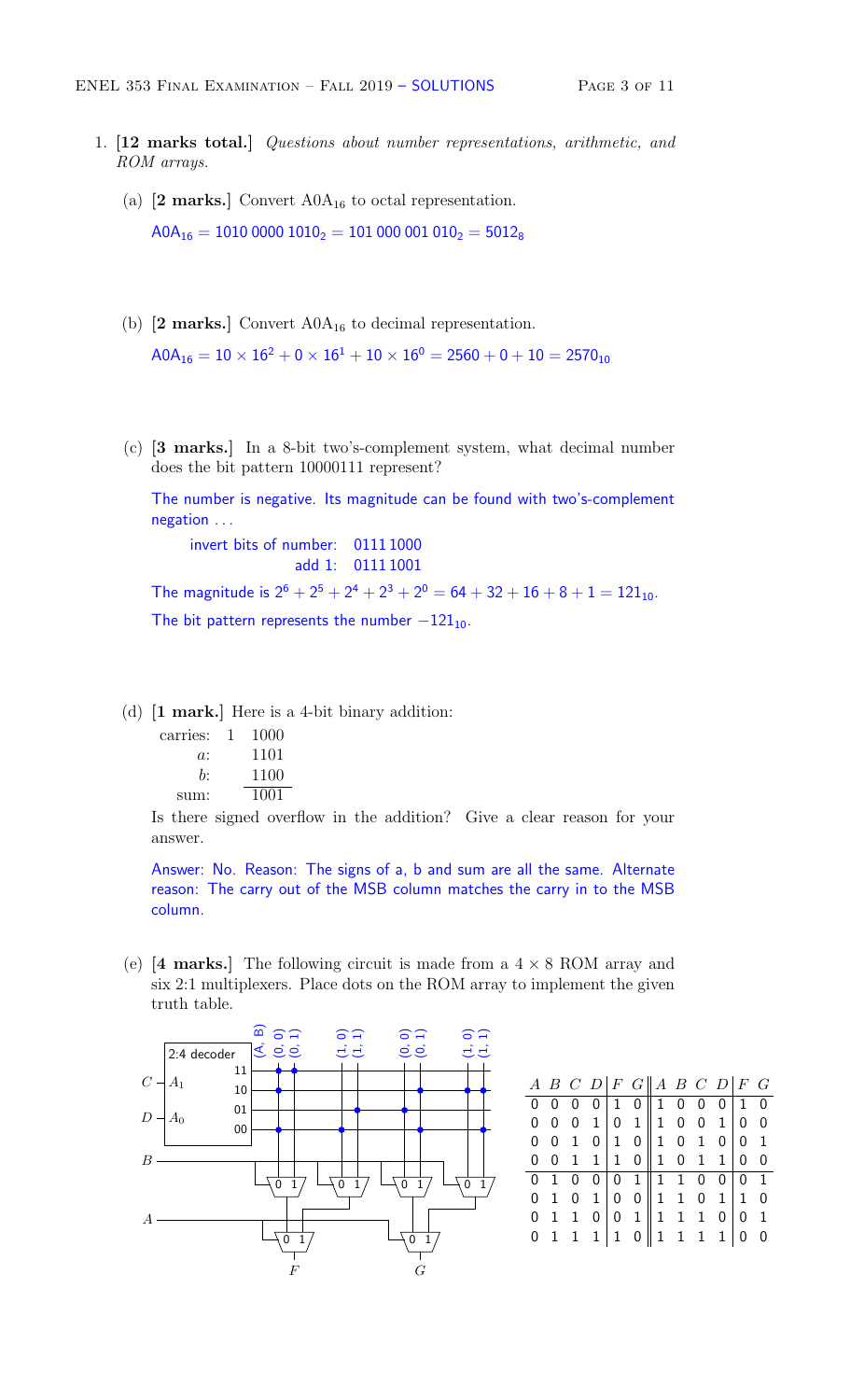- 1. [12 marks total.] *Questions about number representations, arithmetic, and ROM arrays.*
	- (a)  $[2 \text{ marks.}]$  Convert A0 $A_{16}$  to octal representation.  $A0A_{16} = 1010 0000 1010_2 = 101 000 001 010_2 = 5012_8$
	- (b)  $[2 \text{ marks.}]$  Convert  $A0A_{16}$  to decimal representation.  $\mathsf{AOA_{16}} = 10 \times 16^2 + 0 \times 16^1 + 10 \times 16^0 = 2560 + 0 + 10 = 2570_{10}$
	- (c) [3 marks.] In a 8-bit two's-complement system, what decimal number does the bit pattern 10000111 represent?

The number is negative. Its magnitude can be found with two's-complement negation . . .

invert bits of number: 0111 1000 add 1: 0111 1001 The magnitude is  $2^6 + 2^5 + 2^4 + 2^3 + 2^0 = 64 + 32 + 16 + 8 + 1 = 121_{10}$ .

The bit pattern represents the number  $-121_{10}$ .

(d) [1 mark.] Here is a 4-bit binary addition:

| carries: | 1000 |
|----------|------|
| a:       | 1101 |
| b:       | 1100 |
| sum:     | 1001 |

Is there signed overflow in the addition? Give a clear reason for your answer.

Answer: No. Reason: The signs of a, b and sum are all the same. Alternate reason: The carry out of the MSB column matches the carry in to the MSB column.

(e)  $[4 \text{ marks.}]$  The following circuit is made from a  $4 \times 8 \text{ ROM array}$  and six 2:1 multiplexers. Place dots on the ROM array to implement the given truth table.



|  |  |  | A B C D   F G   A B C D   F G                                                                                                                                             |  |  |  |
|--|--|--|---------------------------------------------------------------------------------------------------------------------------------------------------------------------------|--|--|--|
|  |  |  |                                                                                                                                                                           |  |  |  |
|  |  |  |                                                                                                                                                                           |  |  |  |
|  |  |  |                                                                                                                                                                           |  |  |  |
|  |  |  | $\begin{array}{ c cccc cccc } \hline 0&0&0&0&1&0&1&0&0&0&1&0 \\ \hline 0&0&0&1&0&1&1&0&0&1&0&0 \\ 0&0&1&0&1&0&1&0&0&1&0 \\ 0&0&1&1&1&0&1&0&1&1&0&0 \\ \hline \end{array}$ |  |  |  |
|  |  |  |                                                                                                                                                                           |  |  |  |
|  |  |  |                                                                                                                                                                           |  |  |  |
|  |  |  |                                                                                                                                                                           |  |  |  |
|  |  |  | $\begin{array}{ c cccc } \hline 0&1&0&0&0&1&1&1&0&0&0&1\\ \hline 0&1&0&1&0&0&1&1&0&1&1&0\\ 0&1&1&0&0&1&1&1&1&0&0&1\\ 0&1&1&1&1&0&1&1&1&0&0\\ \hline \end{array}$          |  |  |  |
|  |  |  |                                                                                                                                                                           |  |  |  |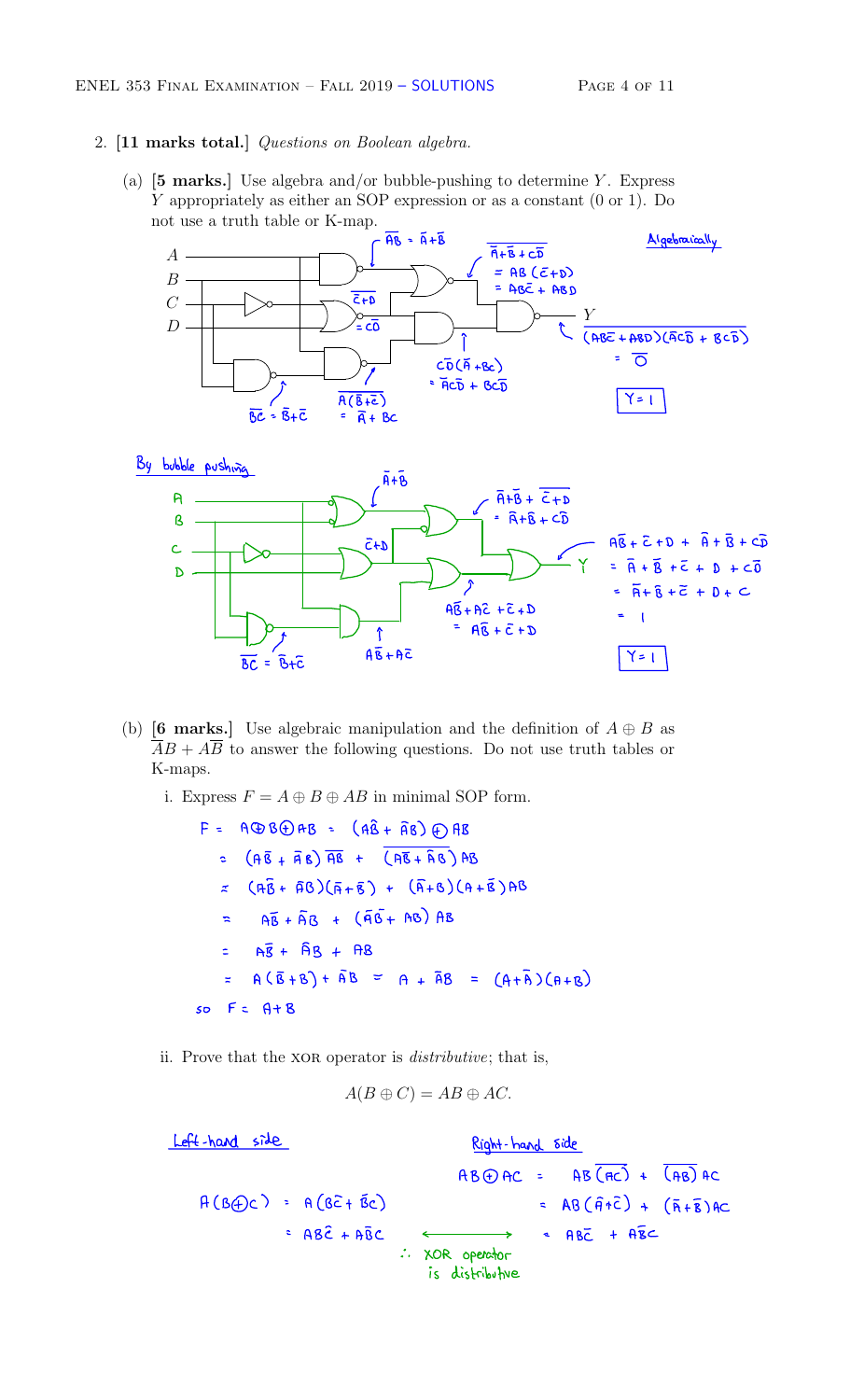### 2. [11 marks total.] *Questions on Boolean algebra.*

(a) [5 marks.] Use algebra and/or bubble-pushing to determine *Y* . Express *Y* appropriately as either an SOP expression or as a constant (0 or 1). Do not use a truth table or K-map. ble-pushing to deterpression or as a contract pression or as a contract  $\frac{a}{\overline{A} + \overline{B}}$ 





- (b) **[6 marks.]** Use algebraic manipulation and the definition of  $A \oplus B$  as  $\overline{A}B + A\overline{B}$  to answer the following questions. Do not use truth tables or K-maps.
	- i. Express  $F = A \oplus B \oplus AB$  in minimal SOP form.

 $F = A \oplus B \oplus A B = (A \hat{B} + \hat{A} B) \oplus A B$  $\frac{1}{2}$  (A $\overline{6}$  +  $\overline{4}$  B)  $\overline{18}$  +  $\overline{(A\overline{6} + \overline{A}B)}$  AB  $\approx$   $( \overline{A} \overline{B} + \overline{A} B ) ( \overline{A} + \overline{B} ) + ( \overline{A} + B ) ( A + \overline{B} ) A B$  $=$   $A\overline{B} + \overline{A}B + (A\overline{B} + AB)AB$  $=$   $A\overline{B} + \overline{B}B + \overline{B}B$  $= A(\overline{B}+B) + \overline{A}B = A + \overline{A}B = (A+\overline{A})(A+B)$  $so$   $F = A + B$ 

ii. Prove that the XOR operator is *distributive*; that is,

$$
A(B \oplus C) = AB \oplus AC.
$$

Left-hand side  $AB + BC = AB(AC) + \overline{(AB)AC}$  $A(B\oplus C) = A(B\tilde{c} + \tilde{B}c)$  =  $AB(\tilde{H} + \tilde{c}) + (\tilde{R} + \tilde{B})AC$  $= AB\hat{c} + A\hat{B}c \longleftrightarrow AB\hat{c} + A\hat{B}c$ <sup>÷</sup> . XOR operator is distributive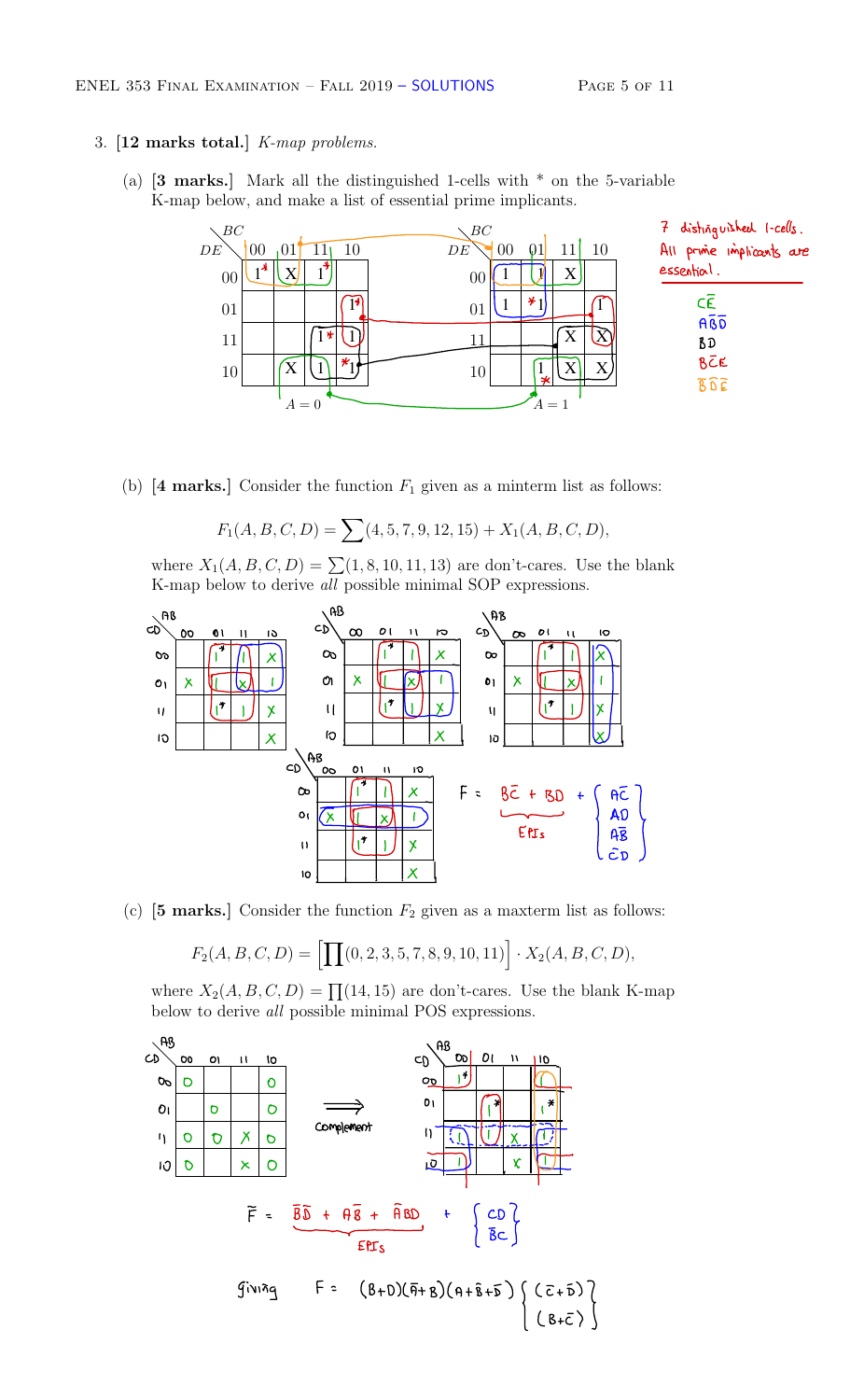- 3. [12 marks total.] *K-map problems.*
	- (a)  $\mathbf{3}$  marks. Mark all the distinguished 1-cells with  $*$  on the 5-variable K-map below, and make a list of essential prime implicants.



(b)  $[4 \text{ marks.}]$  Consider the function  $F_1$  given as a minterm list as follows:

$$
F_1(A, B, C, D) = \sum (4, 5, 7, 9, 12, 15) + X_1(A, B, C, D),
$$

where  $X_1(A, B, C, D) = \sum (1, 8, 10, 11, 13)$  are don't-cares. Use the blank



(c)  $[5 \text{ marks.}]$  Consider the function  $F_2$  given as a maxterm list as follows:

$$
F_2(A, B, C, D) = \left[ \prod(0, 2, 3, 5, 7, 8, 9, 10, 11) \right] \cdot X_2(A, B, C, D),
$$

where  $X_2(A, B, C, D) = \prod (14, 15)$  are don't-cares. Use the blank K-map below to derive *all* possible minimal POS expressions.

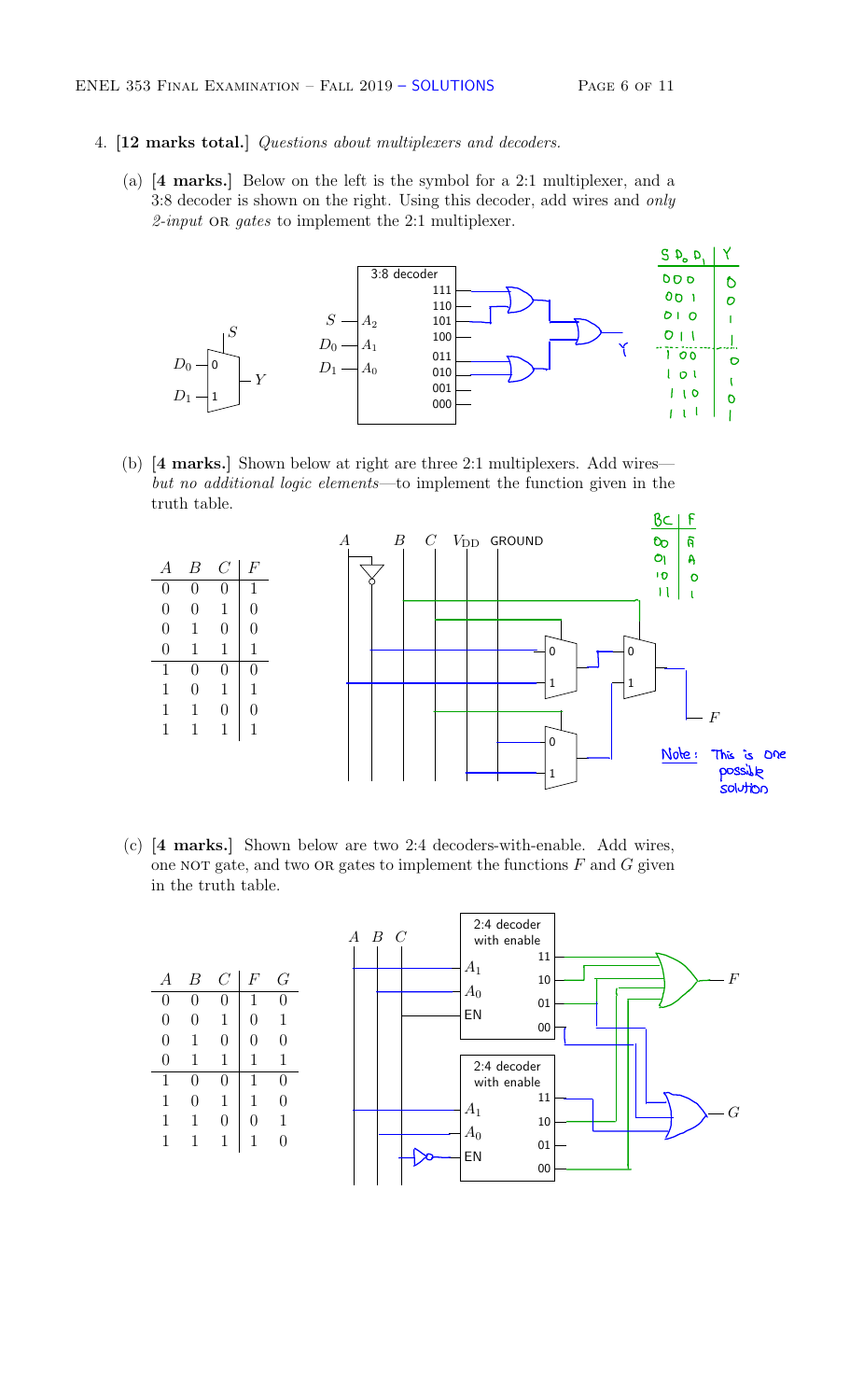#### 4. [12 marks total.] *Questions about multiplexers and decoders.*

(a) [4 marks.] Below on the left is the symbol for a 2:1 multiplexer, and a 3:8 decoder is shown on the right. Using this decoder, add wires and *only 2-input* or *gates* to implement the 2:1 multiplexer.



(b) [4 marks.] Shown below at right are three 2:1 multiplexers. Add wires *but no additional logic elements*—to implement the function given in the truth table.



(c) [4 marks.] Shown below are two 2:4 decoders-with-enable. Add wires, in the truth table.

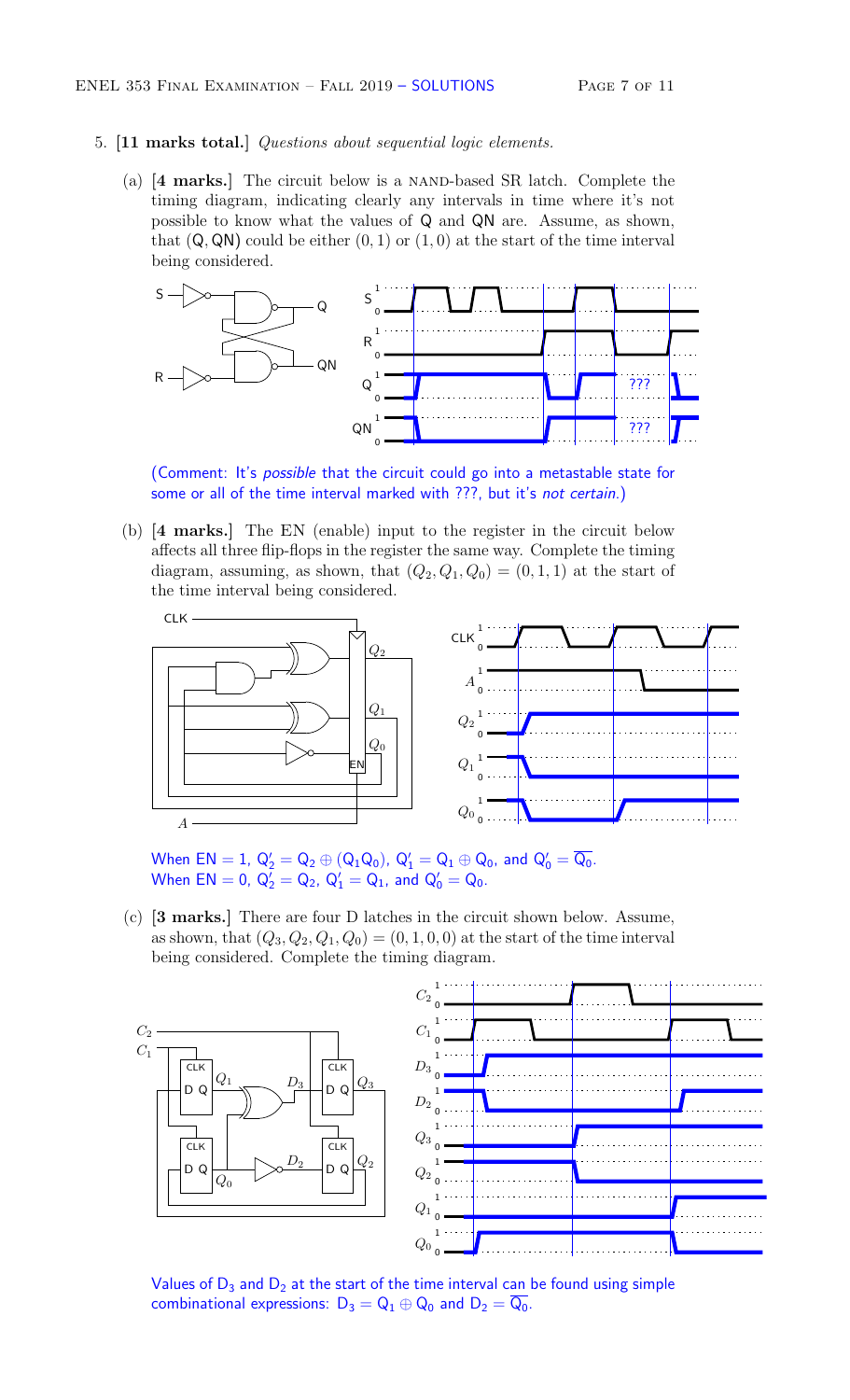#### 5. [11 marks total.] *Questions about sequential logic elements.*

(a) [4 marks.] The circuit below is a NAND-based SR latch. Complete the timing diagram, indicating clearly any intervals in time where it's not possible to know what the values of Q and QN are. Assume, as shown, that  $(Q, QN)$  could be either  $(0, 1)$  or  $(1, 0)$  at the start of the time interval being considered.



(Comment: It's *possible* that the circuit could go into a metastable state for some or all of the time interval marked with ???, but it's *not certain*.)

(b) [4 marks.] The EN (enable) input to the register in the circuit below affects all three flip-flops in the register the same way. Complete the timing diagram, assuming, as shown, that  $(Q_2, Q_1, Q_0) = (0, 1, 1)$  at the start of the time interval being considered.



When  $EN = 1$ ,  $Q_2' = Q_2 \oplus (Q_1Q_0)$ ,  $Q_1' = Q_1 \oplus Q_0$ , and  $Q_0' = Q_0$ . When  $EN = 0$ ,  $Q'_2 = Q_2$ ,  $Q'_1 = Q_1$ , and  $Q'_0 = Q_0$ .

(c) [3 marks.] There are four D latches in the circuit shown below. Assume, as shown, that  $(Q_3, Q_2, Q_1, Q_0) = (0, 1, 0, 0)$  at the start of the time interval being considered. Complete the timing diagram.



Values of  $D_3$  and  $D_2$  at the start of the time interval can be found using simple combinational expressions:  $D_3 = Q_1 \oplus Q_0$  and  $D_2 = \overline{Q_0}$ .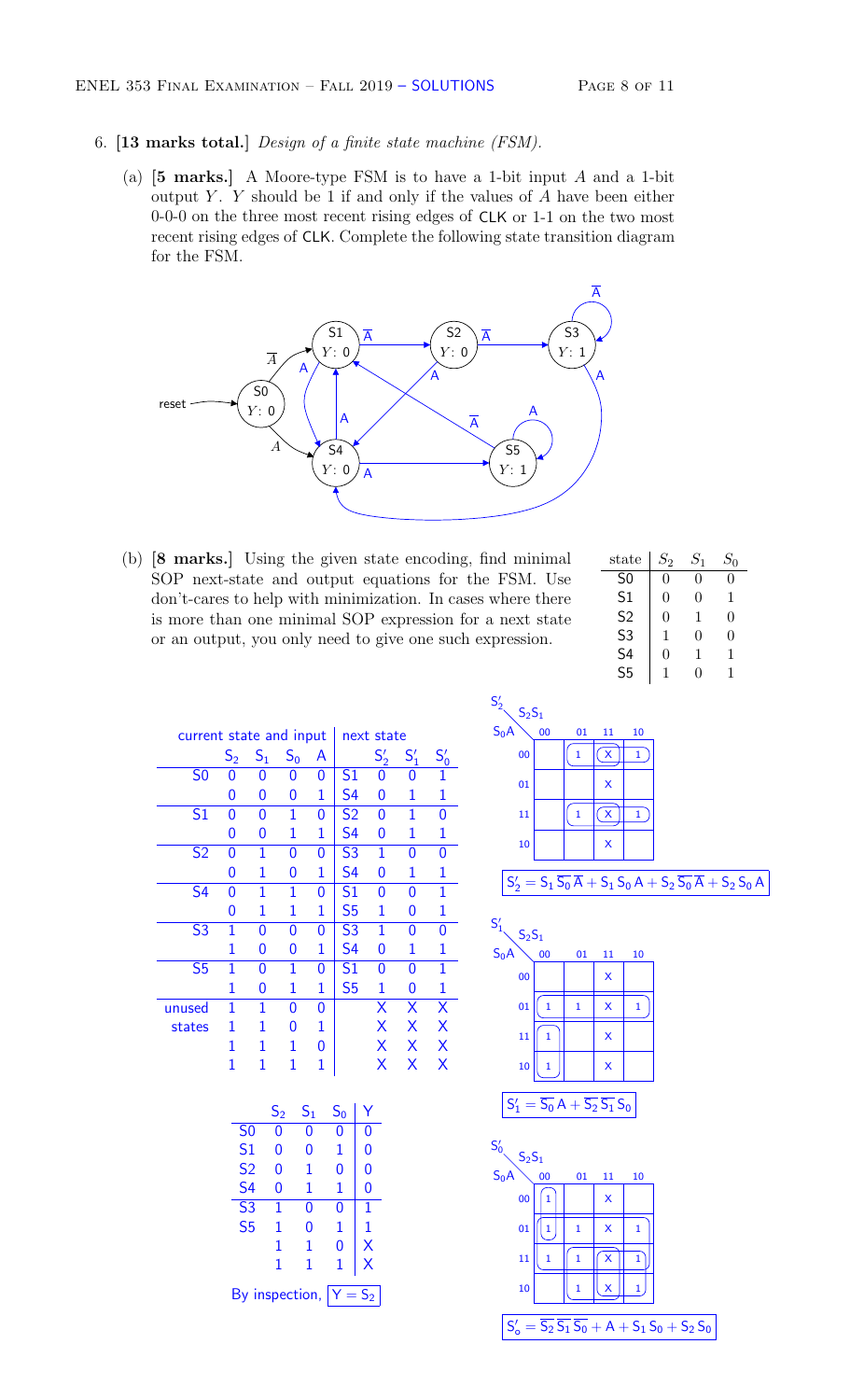- 6. [13 marks total.] *Design of a finite state machine (FSM).*
	- (a) [5 marks.] A Moore-type FSM is to have a 1-bit input *A* and a 1-bit output *Y* . *Y* should be 1 if and only if the values of *A* have been either 0-0-0 on the three most recent rising edges of CLK or 1-1 on the two most recent rising edges of CLK. Complete the following state transition diagram for the FSM.



(b) [8 marks.] Using the given state encoding, find minimal SOP next-state and output equations for the FSM. Use don't-cares to help with minimization. In cases where there is more than one minimal SOP expression for a next state or an output, you only need to give one such expression.

| $_{\rm state}$ | $S_2\,$ | $S_{1}$ | $S_0$ |
|----------------|---------|---------|-------|
| S <sub>0</sub> | 0       | 0       | 0     |
| S <sub>1</sub> | 0       | 0       | 1     |
| S <sub>2</sub> | 0       | 1       | 0     |
| S <sub>3</sub> | 1       | 0       | 0     |
| S4             | 0       | 1       | 1     |
| S <sub>5</sub> | 1       | O)      | 1     |

| current state and input |                |                |       |   |                | next state   |        |        |
|-------------------------|----------------|----------------|-------|---|----------------|--------------|--------|--------|
|                         | $\mathsf{S}_2$ | S <sub>1</sub> | $S_0$ | A |                | $S'_2$       | $S'_1$ | $S_0'$ |
| S <sub>0</sub>          | 0              | 0              | 0     | 0 | S <sub>1</sub> | 0            | 0      | 1      |
|                         | 0              | 0              | 0     | 1 | S4             | 0            | 1      | 1      |
| S <sub>1</sub>          | 0              | 0              | 1     | 0 | S <sub>2</sub> | 0            | 1      | 0      |
|                         | 0              | 0              | 1     | 1 | S <sub>4</sub> | 0            | 1      | 1      |
| S <sub>2</sub>          | 0              | $\mathbf{1}$   | 0     | 0 | S <sub>3</sub> | $\mathbf{1}$ | 0      | 0      |
|                         | 0              | $\mathbf{1}$   | 0     | 1 | S <sub>4</sub> | 0            | 1      | 1      |
| S <sub>4</sub>          | 0              | 1              | 1     | 0 | S <sub>1</sub> | 0            | 0      | 1      |
|                         | 0              | 1              | 1     | 1 | S <sub>5</sub> | 1            | 0      | 1      |
| S <sub>3</sub>          | 1              | 0              | 0     | 0 | S <sub>3</sub> | 1            | 0      | 0      |
|                         | 1              | 0              | 0     | 1 | S4             | 0            | 1      | 1      |
| S <sub>5</sub>          | 1              | 0              | 1     | 0 | S1             | 0            | 0      | 1      |
|                         | 1              | 0              | 1     | 1 | S <sub>5</sub> | 1            | 0      | 1      |
| unused                  | 1              | 1              | 0     | 0 |                | X            | Х      | Χ      |
| states                  | 1              | 1              | 0     | 1 |                | Χ            | Х      | Χ      |
|                         | 1              | 1              | 1     | 0 |                | Χ            | Х      | X      |
|                         | 1              | 1              | 1     | 1 |                | x            | x      | X      |

|                                            | $\mathsf{S}_2$ | $\mathsf{S}_1$ | $\mathsf{S}_0$ | Y |
|--------------------------------------------|----------------|----------------|----------------|---|
| S <sub>0</sub>                             | 0              | 0              | 0              | 0 |
| S <sub>1</sub>                             | 0              | 0              | 1              | 0 |
| S <sub>2</sub>                             | 0              | 1              | 0              | 0 |
| S4                                         | 0              | 1              | 1              | 0 |
| S <sub>3</sub>                             | 1              | 0              | 0              | 1 |
| S <sub>5</sub>                             | 1              | 0              | 1              | 1 |
|                                            | 1              | 1              | 0              | X |
|                                            | 1              | 1              | 1              | Χ |
| By inspection,<br>$\bar{=}$ S <sub>2</sub> |                |                |                |   |



| $S_1'$<br>$S_2S_1$                                                 |    |    |    |    |
|--------------------------------------------------------------------|----|----|----|----|
| $S_0A$                                                             | 00 | 01 | 11 | 10 |
| $\overline{00}$                                                    |    |    | X  |    |
| 01                                                                 | 1  | 1  | X  | 1  |
| 11                                                                 |    |    | X  |    |
| 10                                                                 |    |    | X  |    |
| $=\overline{S_0}A+\overline{S_2}\,\overline{S_1}\,S_0$<br>$S'_{1}$ |    |    |    |    |

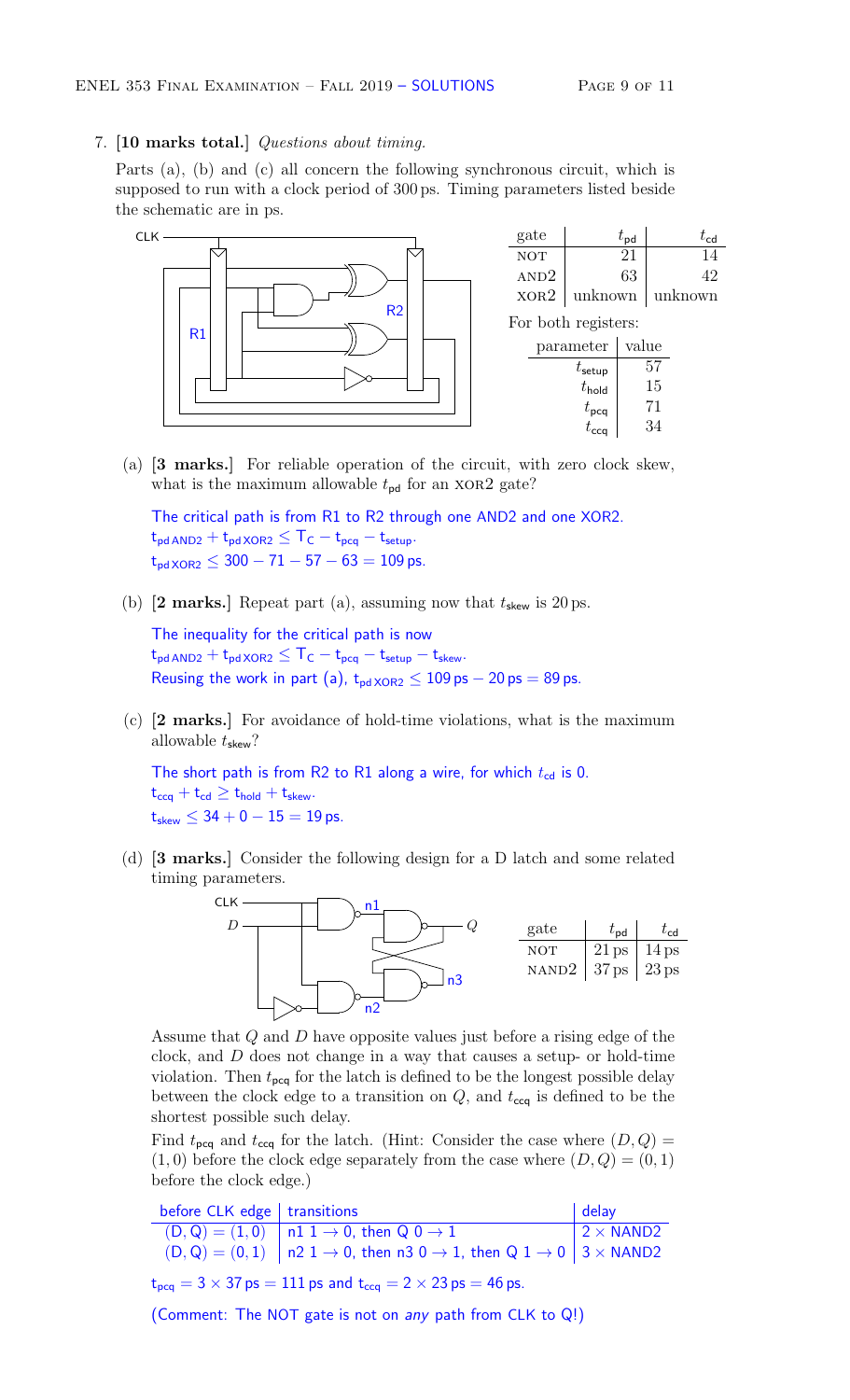#### 7. [10 marks total.] *Questions about timing.*

Parts (a), (b) and (c) all concern the following synchronous circuit, which is supposed to run with a clock period of 300 ps. Timing parameters listed beside the schematic are in ps.



(a) [3 marks.] For reliable operation of the circuit, with zero clock skew, what is the maximum allowable  $t_{\text{pd}}$  for an XOR2 gate?

The critical path is from R1 to R2 through one AND2 and one XOR2.  $t_{pd \,AND2} + t_{pd \,XOR2} \leq T_C - t_{pcq} - t_{setup}.$  $t_{\text{pd XOR2}} \leq 300 - 71 - 57 - 63 = 109 \text{ ps}.$ 

(b)  $[2 \text{ marks.}]$  Repeat part (a), assuming now that  $t_{\text{skew}}$  is 20 ps.

The inequality for the critical path is now  $t_{pd \,AND2} + t_{pd \,XOR2} \leq T_C - t_{pcq} - t_{setup} - t_{skew}.$ Reusing the work in part (a),  $t_{pdXOR2} \le 109$  ps  $- 20$  ps  $= 89$  ps.

(c) [2 marks.] For avoidance of hold-time violations, what is the maximum allowable *t*skew?

The short path is from R2 to R1 along a wire, for which  $t_{cd}$  is 0.  $t_{ccq} + t_{cd} \geq t_{hold} + t_{skew}.$  $t_{skew} \leq 34 + 0 - 15 = 19$  ps.

(d) [3 marks.] Consider the following design for a D latch and some related timing parameters.



Assume that *Q* and *D* have opposite values just before a rising edge of the clock, and *D* does not change in a way that causes a setup- or hold-time violation. Then  $t_{\text{pcq}}$  for the latch is defined to be the longest possible delay between the clock edge to a transition on  $Q$ , and  $t_{\text{ccq}}$  is defined to be the shortest possible such delay.

Find  $t_{\text{pcq}}$  and  $t_{\text{ccq}}$  for the latch. (Hint: Consider the case where  $(D, Q)$  =  $(1,0)$  before the clock edge separately from the case where  $(D,Q) = (0,1)$ before the clock edge.)

| before $CLK$ edge   transitions |                                                                                                                | $ $ delay        |
|---------------------------------|----------------------------------------------------------------------------------------------------------------|------------------|
|                                 | $(D,Q) = (1,0)$   n1 1 $\rightarrow$ 0, then Q 0 $\rightarrow$ 1                                               | $2 \times$ NAND2 |
|                                 | $(D,Q) = (0,1)$   n2 1 $\rightarrow$ 0, then n3 0 $\rightarrow$ 1, then Q 1 $\rightarrow$ 0   3 $\times$ NAND2 |                  |

 $t_{\text{pcq}} = 3 \times 37 \text{ ps} = 111 \text{ ps}$  and  $t_{\text{ccq}} = 2 \times 23 \text{ ps} = 46 \text{ ps}.$ 

(Comment: The NOT gate is not on *any* path from CLK to Q!)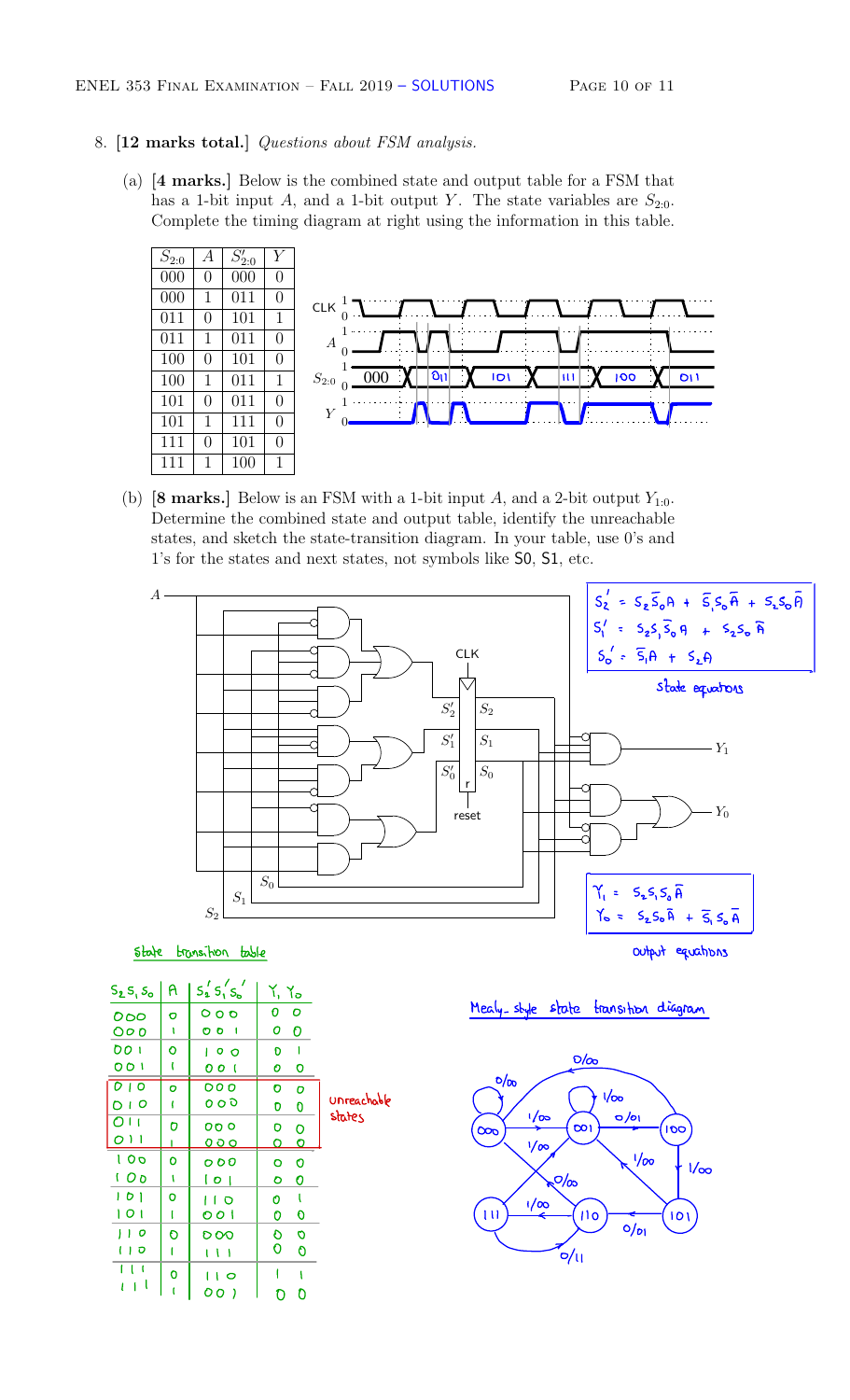### 8. [12 marks total.] *Questions about FSM analysis.*

(a) [4 marks.] Below is the combined state and output table for a FSM that has a 1-bit input *A*, and a 1-bit output *Y*. The state variables are  $S_{2:0}$ . Complete the timing diagram at right using the information in this table.



(b)  $[8 \text{ marks.}]$  Below is an FSM with a 1-bit input *A*, and a 2-bit output  $Y_{1:0}$ . Determine the combined state and output table, identify the unreachable states, and sketch the state-transition diagram. In your table, use 0's and 1's for the states and next states, not symbols like S0, S1, etc.



state transition table states and the state of the output equations

|                                 |              | $S_1$<br>$S_2$    | $S_0$                      |                       | $Y_1 = S_2 S_1 S_0$<br>$Y_0 = S_2 S_0 \bar{A}$ |
|---------------------------------|--------------|-------------------|----------------------------|-----------------------|------------------------------------------------|
| state                           |              | transition table  |                            |                       | output                                         |
| $S_2S_1S_0$                     | $\mathsf{A}$ | $S_2$ $S_1$ $S_2$ | $Y, Y_0$                   |                       |                                                |
| 000                             | $\sigma$     | 000               | $\mathbf C$<br>$\mathbf 0$ |                       | Mealy-style state transition dia               |
| 000                             | 1            | 001               | $\mathbf 0$<br>O           |                       |                                                |
| 001                             | $\mathbf O$  | 100               | Ð<br>Т                     |                       | $O/\infty$                                     |
| 001                             | t            | 001               | $\mathbf o$<br>0           |                       |                                                |
| $\overline{O}$   $\overline{O}$ | $\bullet$    | 000               | $\bullet$<br>Ō             |                       | $\frac{1}{2}$<br>1/20                          |
| O <sub>1</sub>                  | T            | ०००               | $\overline{0}$<br>O        | Unreachable<br>states | $1/\infty$<br>$\sigma$ /01                     |
| $\overline{O}$ <sub>11</sub>    | O            | 000               | o<br>$\circ$               |                       | <b>DO1</b><br>$\infty$<br>$\overline{c}$       |
| O <sub>1</sub>                  |              | <u>000</u>        | $\mathbf o$<br>O           |                       | $\sqrt{60}$                                    |
| 100                             | $\mathbf o$  | 000               | $\mathbf o$<br>O           |                       | 1/80                                           |
| 100                             | t            | 0                 | 0<br>ہ                     |                       | $\sqrt{2}/\infty$                              |
| 101                             | $\circ$      | 1 I O             | O                          |                       | $\frac{1}{2}$                                  |
| 101                             | 1            | 001               | O<br>0                     |                       | 111<br>110                                     |
| 100                             | O            | 000               | $\circ$<br>O               |                       | $0/p_1$                                        |
| 110                             | $\mathbf{I}$ | 1 U L             | 0<br>$\mathbf 0$           |                       | 'প/।                                           |
| 111                             | $\mathbf 0$  | 110               | 1                          |                       |                                                |
| $l + l$                         | $\mathbf{r}$ | 00)               | $\mathbf 0$<br>O           |                       |                                                |

Mealy-style state transition diagram